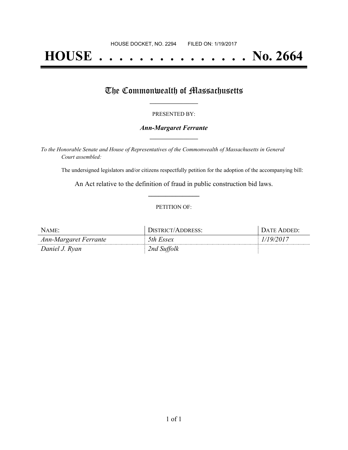# **HOUSE . . . . . . . . . . . . . . . No. 2664**

## The Commonwealth of Massachusetts

#### PRESENTED BY:

#### *Ann-Margaret Ferrante* **\_\_\_\_\_\_\_\_\_\_\_\_\_\_\_\_\_**

*To the Honorable Senate and House of Representatives of the Commonwealth of Massachusetts in General Court assembled:*

The undersigned legislators and/or citizens respectfully petition for the adoption of the accompanying bill:

An Act relative to the definition of fraud in public construction bid laws. **\_\_\_\_\_\_\_\_\_\_\_\_\_\_\_**

#### PETITION OF:

| NAME:                 | DISTRICT/ADDRESS: | DATE ADDED: |
|-----------------------|-------------------|-------------|
| Ann-Margaret Ferrante | 5th Essex         | 1/19/2017   |
| Daniel J. Ryan        | 2nd Suffolk       |             |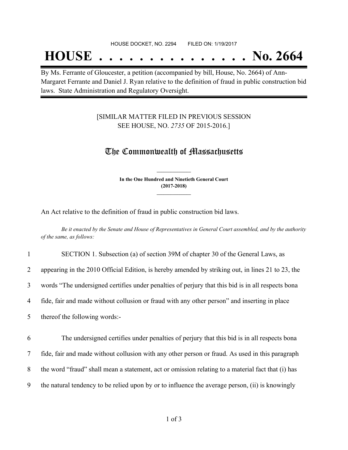## **HOUSE . . . . . . . . . . . . . . . No. 2664**

By Ms. Ferrante of Gloucester, a petition (accompanied by bill, House, No. 2664) of Ann-Margaret Ferrante and Daniel J. Ryan relative to the definition of fraud in public construction bid laws. State Administration and Regulatory Oversight.

### [SIMILAR MATTER FILED IN PREVIOUS SESSION SEE HOUSE, NO. *2735* OF 2015-2016.]

## The Commonwealth of Massachusetts

**In the One Hundred and Ninetieth General Court (2017-2018) \_\_\_\_\_\_\_\_\_\_\_\_\_\_\_**

**\_\_\_\_\_\_\_\_\_\_\_\_\_\_\_**

An Act relative to the definition of fraud in public construction bid laws.

Be it enacted by the Senate and House of Representatives in General Court assembled, and by the authority *of the same, as follows:*

| $\mathbf{1}$ | SECTION 1. Subsection (a) of section 39M of chapter 30 of the General Laws, as                    |
|--------------|---------------------------------------------------------------------------------------------------|
| 2            | appearing in the 2010 Official Edition, is hereby amended by striking out, in lines 21 to 23, the |
| 3            | words "The undersigned certifies under penalties of perjury that this bid is in all respects bona |
| 4            | fide, fair and made without collusion or fraud with any other person" and inserting in place      |
| 5            | thereof the following words:-                                                                     |
| 6            | The undersigned certifies under penalties of perjury that this bid is in all respects bona        |
|              |                                                                                                   |
| 7            | fide, fair and made without collusion with any other person or fraud. As used in this paragraph   |

8 the word "fraud" shall mean a statement, act or omission relating to a material fact that (i) has

9 the natural tendency to be relied upon by or to influence the average person, (ii) is knowingly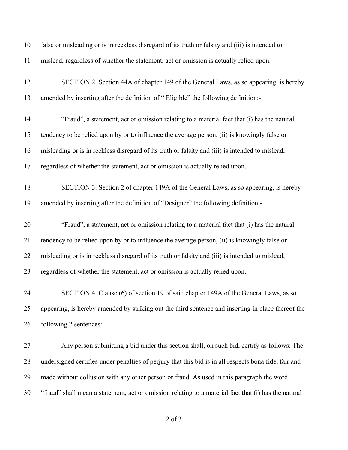| 10 | false or misleading or is in reckless disregard of its truth or falsity and (iii) is intended to      |
|----|-------------------------------------------------------------------------------------------------------|
| 11 | mislead, regardless of whether the statement, act or omission is actually relied upon.                |
| 12 | SECTION 2. Section 44A of chapter 149 of the General Laws, as so appearing, is hereby                 |
| 13 | amended by inserting after the definition of "Eligible" the following definition:-                    |
| 14 | "Fraud", a statement, act or omission relating to a material fact that (i) has the natural            |
| 15 | tendency to be relied upon by or to influence the average person, (ii) is knowingly false or          |
| 16 | misleading or is in reckless disregard of its truth or falsity and (iii) is intended to mislead,      |
| 17 | regardless of whether the statement, act or omission is actually relied upon.                         |
| 18 | SECTION 3. Section 2 of chapter 149A of the General Laws, as so appearing, is hereby                  |
| 19 | amended by inserting after the definition of "Designer" the following definition:-                    |
| 20 | "Fraud", a statement, act or omission relating to a material fact that (i) has the natural            |
| 21 | tendency to be relied upon by or to influence the average person, (ii) is knowingly false or          |
| 22 | misleading or is in reckless disregard of its truth or falsity and (iii) is intended to mislead,      |
| 23 | regardless of whether the statement, act or omission is actually relied upon.                         |
| 24 | SECTION 4. Clause (6) of section 19 of said chapter 149A of the General Laws, as so                   |
| 25 | appearing, is hereby amended by striking out the third sentence and inserting in place thereof the    |
| 26 | following 2 sentences:-                                                                               |
| 27 | Any person submitting a bid under this section shall, on such bid, certify as follows: The            |
| 28 | undersigned certifies under penalties of perjury that this bid is in all respects bona fide, fair and |
| 29 | made without collusion with any other person or fraud. As used in this paragraph the word             |
| 30 | "fraud" shall mean a statement, act or omission relating to a material fact that (i) has the natural  |

of 3